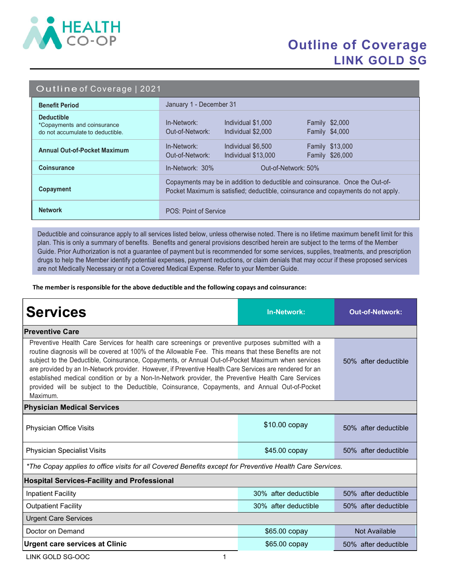

## Outline of Coverage LINK GOLD SG

#### Outline of Coverage | 2021

| <b>HEALTH</b>                                                                        | <b>Outline of Coverage</b><br><b>LINK GOLD SG</b>                                                                                                                                                                                                                                                                                                                                                                                                                                                                                                                                                                                                             |  |  |
|--------------------------------------------------------------------------------------|---------------------------------------------------------------------------------------------------------------------------------------------------------------------------------------------------------------------------------------------------------------------------------------------------------------------------------------------------------------------------------------------------------------------------------------------------------------------------------------------------------------------------------------------------------------------------------------------------------------------------------------------------------------|--|--|
| Outline of Coverage   2021                                                           |                                                                                                                                                                                                                                                                                                                                                                                                                                                                                                                                                                                                                                                               |  |  |
| <b>Benefit Period</b>                                                                | January 1 - December 31                                                                                                                                                                                                                                                                                                                                                                                                                                                                                                                                                                                                                                       |  |  |
| <b>Deductible</b><br>*Copayments and coinsurance<br>do not accumulate to deductible. | In-Network:<br>Individual \$1,000<br>Family \$2,000<br>Out-of-Network:<br>Individual \$2,000<br>Family \$4,000                                                                                                                                                                                                                                                                                                                                                                                                                                                                                                                                                |  |  |
| <b>Annual Out-of-Pocket Maximum</b>                                                  | In-Network:<br>Individual \$6,500<br>Family \$13,000<br>Out-of-Network:<br>Individual \$13,000<br>Family \$26,000                                                                                                                                                                                                                                                                                                                                                                                                                                                                                                                                             |  |  |
| <b>Coinsurance</b>                                                                   | Out-of-Network: 50%<br>In-Network: 30%                                                                                                                                                                                                                                                                                                                                                                                                                                                                                                                                                                                                                        |  |  |
| <b>Copayment</b>                                                                     | Copayments may be in addition to deductible and coinsurance. Once the Out-of-<br>Pocket Maximum is satisfied; deductible, coinsurance and copayments do not apply.                                                                                                                                                                                                                                                                                                                                                                                                                                                                                            |  |  |
| <b>Network</b>                                                                       | POS: Point of Service                                                                                                                                                                                                                                                                                                                                                                                                                                                                                                                                                                                                                                         |  |  |
|                                                                                      | Deductible and coinsurance apply to all services listed below, unless otherwise noted. There is no lifetime maximum benefit limit for this<br>plan. This is only a summary of benefits. Benefits and general provisions described herein are subject to the terms of the Member<br>Guide. Prior Authorization is not a guarantee of payment but is recommended for some services, supplies, treatments, and prescription<br>drugs to help the Member identify potential expenses, payment reductions, or claim denials that may occur if these proposed services<br>are not Medically Necessary or not a Covered Medical Expense. Refer to your Member Guide. |  |  |

The member is responsible for the above deductible and the following copays and coinsurance:

| <b>Services</b>                                                                                                                                                                                                                                                                                                                                                                                                                                                                                                                                                                                                                                 | <b>In-Network:</b>   | <b>Out-of-Network:</b> |  |  |
|-------------------------------------------------------------------------------------------------------------------------------------------------------------------------------------------------------------------------------------------------------------------------------------------------------------------------------------------------------------------------------------------------------------------------------------------------------------------------------------------------------------------------------------------------------------------------------------------------------------------------------------------------|----------------------|------------------------|--|--|
| <b>Preventive Care</b>                                                                                                                                                                                                                                                                                                                                                                                                                                                                                                                                                                                                                          |                      |                        |  |  |
| Preventive Health Care Services for health care screenings or preventive purposes submitted with a<br>routine diagnosis will be covered at 100% of the Allowable Fee. This means that these Benefits are not<br>subject to the Deductible, Coinsurance, Copayments, or Annual Out-of-Pocket Maximum when services<br>are provided by an In-Network provider. However, if Preventive Health Care Services are rendered for an<br>established medical condition or by a Non-In-Network provider, the Preventive Health Care Services<br>provided will be subject to the Deductible, Coinsurance, Copayments, and Annual Out-of-Pocket<br>Maximum. | 50% after deductible |                        |  |  |
| <b>Physician Medical Services</b>                                                                                                                                                                                                                                                                                                                                                                                                                                                                                                                                                                                                               |                      |                        |  |  |
| Physician Office Visits                                                                                                                                                                                                                                                                                                                                                                                                                                                                                                                                                                                                                         | \$10.00 copay        | 50% after deductible   |  |  |
| <b>Physician Specialist Visits</b>                                                                                                                                                                                                                                                                                                                                                                                                                                                                                                                                                                                                              | \$45.00 copay        | 50% after deductible   |  |  |
| *The Copay applies to office visits for all Covered Benefits except for Preventive Health Care Services.                                                                                                                                                                                                                                                                                                                                                                                                                                                                                                                                        |                      |                        |  |  |
| <b>Hospital Services-Facility and Professional</b>                                                                                                                                                                                                                                                                                                                                                                                                                                                                                                                                                                                              |                      |                        |  |  |
| <b>Inpatient Facility</b>                                                                                                                                                                                                                                                                                                                                                                                                                                                                                                                                                                                                                       | 30% after deductible | 50% after deductible   |  |  |
| <b>Outpatient Facility</b>                                                                                                                                                                                                                                                                                                                                                                                                                                                                                                                                                                                                                      | 30% after deductible | 50% after deductible   |  |  |
| <b>Urgent Care Services</b>                                                                                                                                                                                                                                                                                                                                                                                                                                                                                                                                                                                                                     |                      |                        |  |  |
| Doctor on Demand                                                                                                                                                                                                                                                                                                                                                                                                                                                                                                                                                                                                                                | \$65.00 copay        | <b>Not Available</b>   |  |  |
| <b>Urgent care services at Clinic</b>                                                                                                                                                                                                                                                                                                                                                                                                                                                                                                                                                                                                           | $$65.00$ copay       | 50% after deductible   |  |  |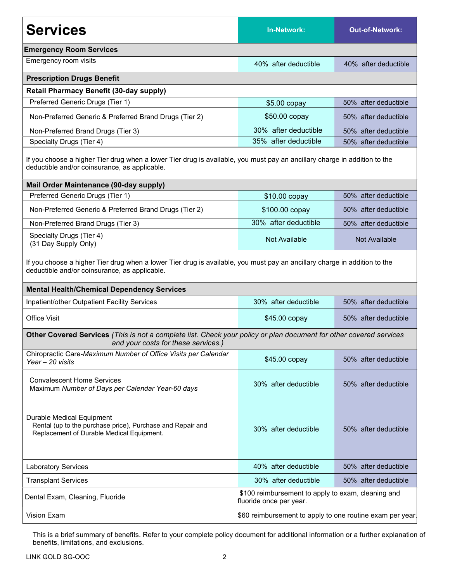| <b>Services</b>                                                                                                                                                                                                                 | <b>In-Network:</b>   | <b>Out-of-Network:</b> |  |  |
|---------------------------------------------------------------------------------------------------------------------------------------------------------------------------------------------------------------------------------|----------------------|------------------------|--|--|
| <b>Emergency Room Services</b>                                                                                                                                                                                                  |                      |                        |  |  |
| Emergency room visits                                                                                                                                                                                                           | 40% after deductible | 40% after deductible   |  |  |
| <b>Prescription Drugs Benefit</b>                                                                                                                                                                                               |                      |                        |  |  |
| <b>Retail Pharmacy Benefit (30-day supply)</b>                                                                                                                                                                                  |                      |                        |  |  |
| Preferred Generic Drugs (Tier 1)                                                                                                                                                                                                | \$5.00 copay         | 50% after deductible   |  |  |
| Non-Preferred Generic & Preferred Brand Drugs (Tier 2)                                                                                                                                                                          | \$50.00 copay        | 50% after deductible   |  |  |
| Non-Preferred Brand Drugs (Tier 3)                                                                                                                                                                                              | 30% after deductible | 50% after deductible   |  |  |
| Specialty Drugs (Tier 4)                                                                                                                                                                                                        | 35% after deductible | 50% after deductible   |  |  |
| If you choose a higher Tier drug when a lower Tier drug is available, you must pay an ancillary charge in addition to the<br>deductible and/or coinsurance, as applicable.                                                      |                      |                        |  |  |
| Mail Order Maintenance (90-day supply)                                                                                                                                                                                          |                      |                        |  |  |
| Preferred Generic Drugs (Tier 1)                                                                                                                                                                                                | \$10.00 copay        | 50% after deductible   |  |  |
| Non-Preferred Generic & Preferred Brand Drugs (Tier 2)                                                                                                                                                                          | \$100.00 copay       | 50% after deductible   |  |  |
| Non-Preferred Brand Drugs (Tier 3)                                                                                                                                                                                              | 30% after deductible | 50% after deductible   |  |  |
| Specialty Drugs (Tier 4)<br>(31 Day Supply Only)                                                                                                                                                                                | Not Available        | <b>Not Available</b>   |  |  |
| If you choose a higher Tier drug when a lower Tier drug is available, you must pay an ancillary charge in addition to the<br>deductible and/or coinsurance, as applicable.<br><b>Mental Health/Chemical Dependency Services</b> |                      |                        |  |  |
| Inpatient/other Outpatient Facility Services                                                                                                                                                                                    | 30% after deductible | 50% after deductible   |  |  |
| <b>Office Visit</b>                                                                                                                                                                                                             | \$45.00 copay        | 50% after deductible   |  |  |
| Other Covered Services (This is not a complete list. Check your policy or plan document for other covered services<br>and your costs for these services.)                                                                       |                      |                        |  |  |
| Chiropractic Care-Maximum Number of Office Visits per Calendar<br>Year - 20 visits                                                                                                                                              | \$45.00 copay        | 50% after deductible   |  |  |
| <b>Convalescent Home Services</b><br>Maximum Number of Days per Calendar Year-60 days                                                                                                                                           | 30% after deductible | 50% after deductible   |  |  |
| <b>Durable Medical Equipment</b><br>Rental (up to the purchase price), Purchase and Repair and<br>Replacement of Durable Medical Equipment.                                                                                     | 30% after deductible | 50% after deductible   |  |  |
| <b>Laboratory Services</b>                                                                                                                                                                                                      | 40% after deductible | 50% after deductible   |  |  |
| <b>Transplant Services</b>                                                                                                                                                                                                      | 30% after deductible | 50% after deductible   |  |  |
| \$100 reimbursement to apply to exam, cleaning and<br>Dental Exam, Cleaning, Fluoride<br>fluoride once per year.                                                                                                                |                      |                        |  |  |
| Vision Exam<br>\$60 reimbursement to apply to one routine exam per year.                                                                                                                                                        |                      |                        |  |  |

This is a brief summary of benefits. Refer to your complete policy document for additional information or a further explanation of benefits, limitations, and exclusions.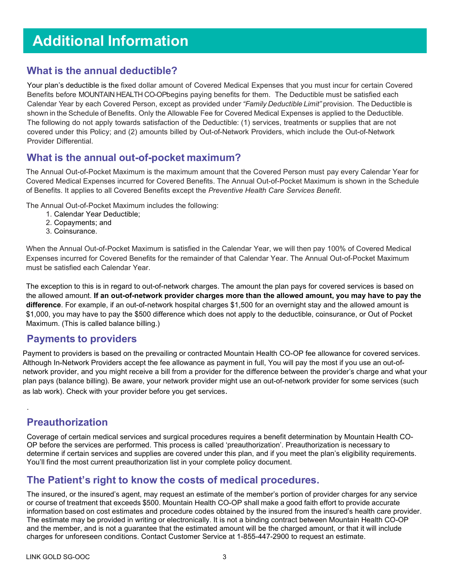# Additional Information

#### What is the annual deductible?

Your plan's deductible is the fixed dollar amount of Covered Medical Expenses that you must incur for certain Covered Benefits before MOUNTAIN HEALTH CO-OPbegins paying benefits for them. The Deductible must be satisfied each Calendar Year by each Covered Person, except as provided under "Family Deductible Limit" provision. The Deductible is shown in the Schedule of Benefits. Only the Allowable Fee for Covered Medical Expenses is applied to the Deductible. The following do not apply towards satisfaction of the Deductible: (1) services, treatments or supplies that are not covered under this Policy; and (2) amounts billed by Out-of-Network Providers, which include the Out-of-Network Provider Differential.

#### What is the annual out-of-pocket maximum?

The Annual Out-of-Pocket Maximum is the maximum amount that the Covered Person must pay every Calendar Year for Covered Medical Expenses incurred for Covered Benefits. The Annual Out-of-Pocket Maximum is shown in the Schedule of Benefits. It applies to all Covered Benefits except the Preventive Health Care Services Benefit.

The Annual Out-of-Pocket Maximum includes the following:

- 1. Calendar Year Deductible;
- 2. Copayments; and
- 3. Coinsurance.

When the Annual Out-of-Pocket Maximum is satisfied in the Calendar Year, we will then pay 100% of Covered Medical Expenses incurred for Covered Benefits for the remainder of that Calendar Year. The Annual Out-of-Pocket Maximum must be satisfied each Calendar Year.

The exception to this is in regard to out-of-network charges. The amount the plan pays for covered services is based on the allowed amount. If an out-of-network provider charges more than the allowed amount, you may have to pay the difference. For example, if an out-of-network hospital charges \$1,500 for an overnight stay and the allowed amount is \$1,000, you may have to pay the \$500 difference which does not apply to the deductible, coinsurance, or Out of Pocket Maximum. (This is called balance billing.)

#### Payments to providers

Payment to providers is based on the prevailing or contracted Mountain Health CO-OP fee allowance for covered services. Although In-Network Providers accept the fee allowance as payment in full, You will pay the most if you use an out-ofnetwork provider, and you might receive a bill from a provider for the difference between the provider's charge and what your plan pays (balance billing). Be aware, your network provider might use an out-of-network provider for some services (such as lab work). Check with your provider before you get services.

### Preauthorization

.

Coverage of certain medical services and surgical procedures requires a benefit determination by Mountain Health CO-OP before the services are performed. This process is called 'preauthorization'. Preauthorization is necessary to determine if certain services and supplies are covered under this plan, and if you meet the plan's eligibility requirements. You'll find the most current preauthorization list in your complete policy document.

### The Patient's right to know the costs of medical procedures.

The insured, or the insured's agent, may request an estimate of the member's portion of provider charges for any service or course of treatment that exceeds \$500. Mountain Health CO-OP shall make a good faith effort to provide accurate information based on cost estimates and procedure codes obtained by the insured from the insured's health care provider. The estimate may be provided in writing or electronically. It is not a binding contract between Mountain Health CO-OP and the member, and is not a guarantee that the estimated amount will be the charged amount, or that it will include charges for unforeseen conditions. Contact Customer Service at 1-855-447-2900 to request an estimate.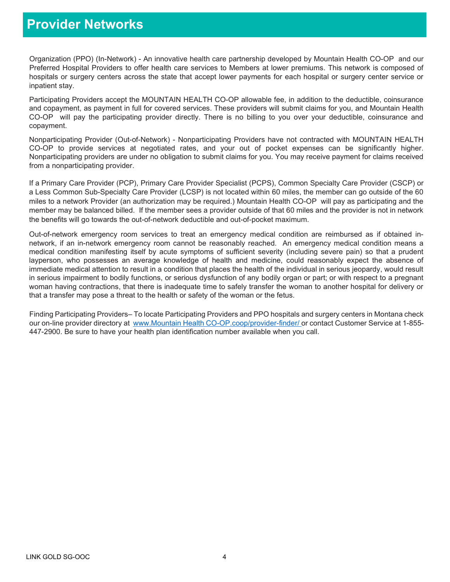## Provider Networks

Organization (PPO) (In-Network) - An innovative health care partnership developed by Mountain Health CO-OP and our Preferred Hospital Providers to offer health care services to Members at lower premiums. This network is composed of hospitals or surgery centers across the state that accept lower payments for each hospital or surgery center service or inpatient stay.

Participating Providers accept the MOUNTAIN HEALTH CO-OP allowable fee, in addition to the deductible, coinsurance and copayment, as payment in full for covered services. These providers will submit claims for you, and Mountain Health CO-OP will pay the participating provider directly. There is no billing to you over your deductible, coinsurance and copayment.

Nonparticipating Provider (Out-of-Network) - Nonparticipating Providers have not contracted with MOUNTAIN HEALTH CO-OP to provide services at negotiated rates, and your out of pocket expenses can be significantly higher. Nonparticipating providers are under no obligation to submit claims for you. You may receive payment for claims received from a nonparticipating provider.

If a Primary Care Provider (PCP), Primary Care Provider Specialist (PCPS), Common Specialty Care Provider (CSCP) or a Less Common Sub-Specialty Care Provider (LCSP) is not located within 60 miles, the member can go outside of the 60 miles to a network Provider (an authorization may be required.) Mountain Health CO-OP will pay as participating and the member may be balanced billed. If the member sees a provider outside of that 60 miles and the provider is not in network the benefits will go towards the out-of-network deductible and out-of-pocket maximum.

Out-of-network emergency room services to treat an emergency medical condition are reimbursed as if obtained innetwork, if an in-network emergency room cannot be reasonably reached. An emergency medical condition means a medical condition manifesting itself by acute symptoms of sufficient severity (including severe pain) so that a prudent layperson, who possesses an average knowledge of health and medicine, could reasonably expect the absence of immediate medical attention to result in a condition that places the health of the individual in serious jeopardy, would result in serious impairment to bodily functions, or serious dysfunction of any bodily organ or part; or with respect to a pregnant woman having contractions, that there is inadequate time to safely transfer the woman to another hospital for delivery or that a transfer may pose a threat to the health or safety of the woman or the fetus.

Finding Participating Providers– To locate Participating Providers and PPO hospitals and surgery centers in Montana check our on-line provider directory at www.Mountain Health CO-OP.coop/provider-finder/ or contact Customer Service at 1-855-447-2900. Be sure to have your health plan identification number available when you call.